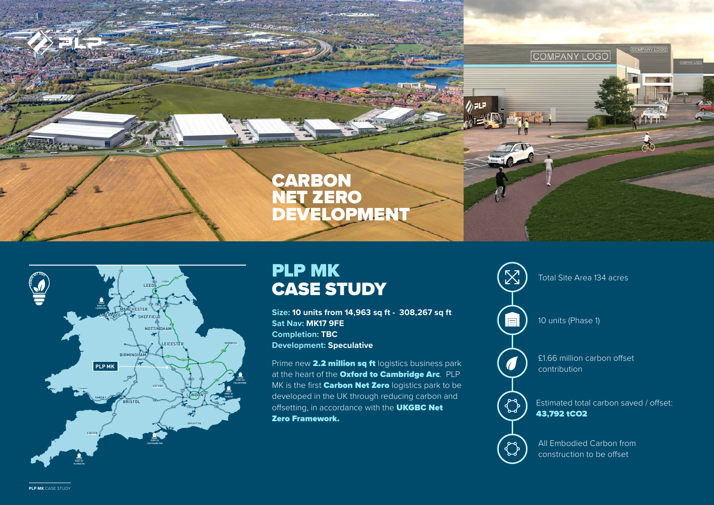



## PLP MK CASE STUDY

**Size: 10 units from 14,963 sq ft - 308,267 sq ft Sat Nav: MK17 9FE Completion: TBC Development: Speculative**

Prime new 2.2 million sq ft logistics business park at the heart of the Oxford to Cambridge Arc. PLP MK is the first **Carbon Net Zero** logistics park to be developed in the UK through reducing carbon and offsetting, in accordance with the **UKGBC Net** Zero Framework.